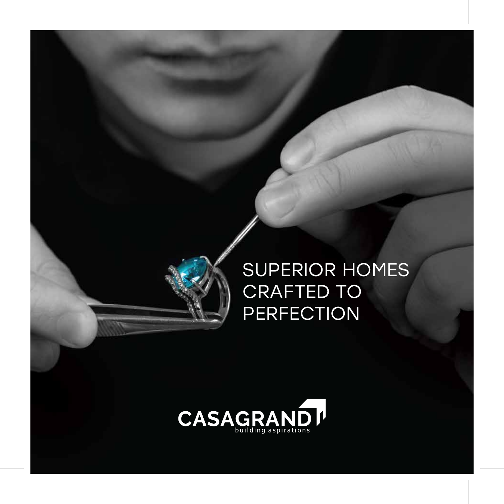

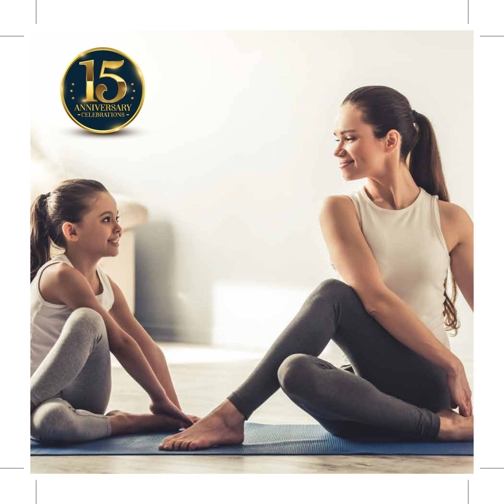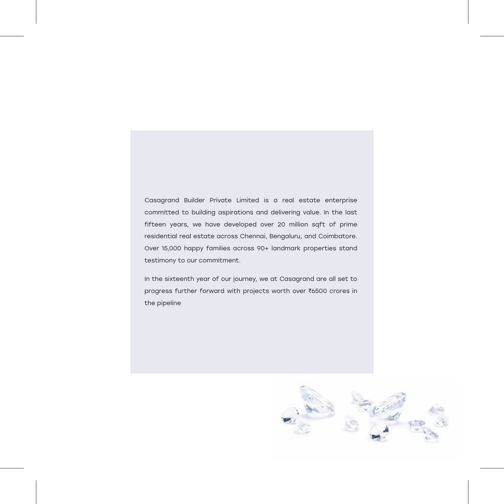Casagrand Builder Private Limited is a real estate enterprise committed to building aspirations and delivering value. In the last fifteen years, we have developed over 20 million sqft of prime residential real estate across Chennai, Bengaluru, and Coimbatore. Over 15,000 happy families across 90+ landmark properties stand testimony to our commitment.

In the sixteenth year of our journey, we at Casagrand are all set to progress further forward with projects worth over ₹6500 crores in the pipeline

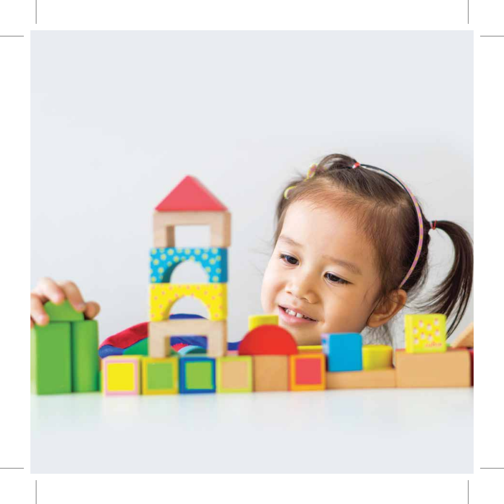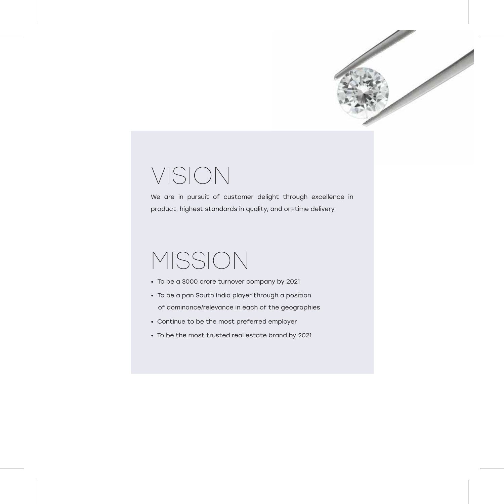

## VISION

We are in pursuit of customer delight through excellence in product, highest standards in quality, and on-time delivery.

### MISSION

- To be a 3000 crore turnover company by 2021
- To be a pan South India player through a position of dominance/relevance in each of the geographies
- Continue to be the most preferred employer
- To be the most trusted real estate brand by 2021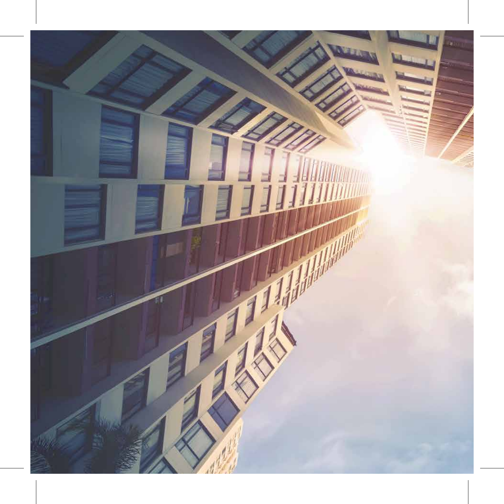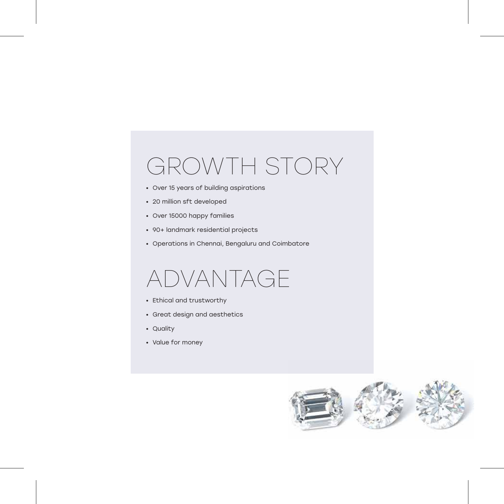# GROWTH STORY

- Over 15 years of building aspirations
- 20 million sft developed
- Over 15000 happy families
- 90+ landmark residential projects
- Operations in Chennai, Bengaluru and Coimbatore

#### ADVANTAGE

- Ethical and trustworthy
- Great design and aesthetics
- Quality
- Value for money

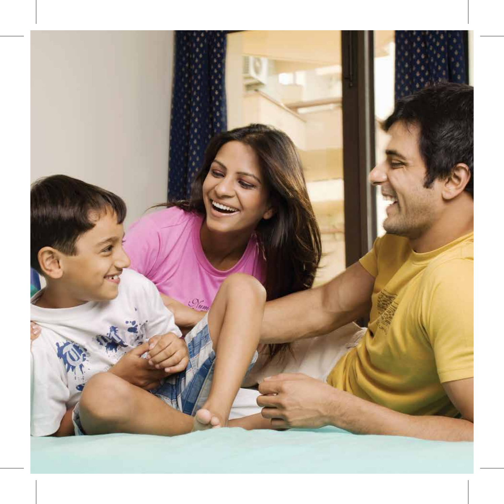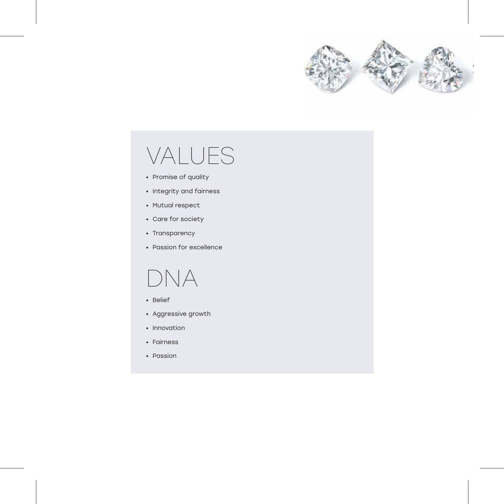

## VALUES

- Promise of quality
- Integrity and fairness
- Mutual respect
- Care for society
- Transparency
- Passion for excellence

#### DNA

- Belief
- Aggressive growth
- Innovation
- Fairness
- Passion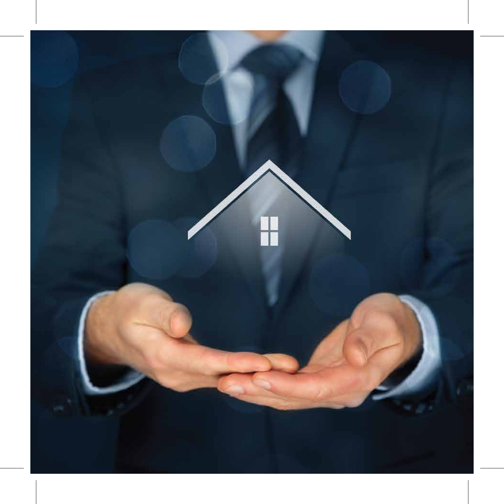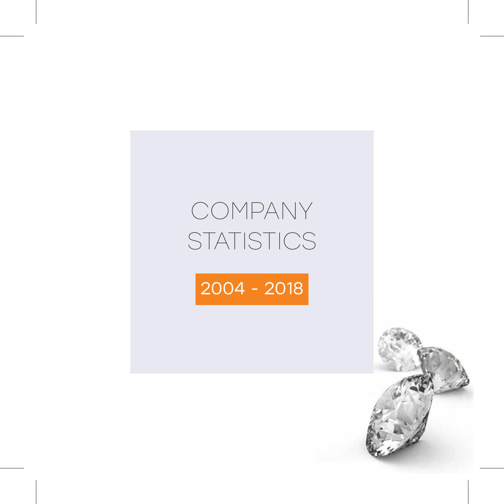# COMPANY STATISTICS